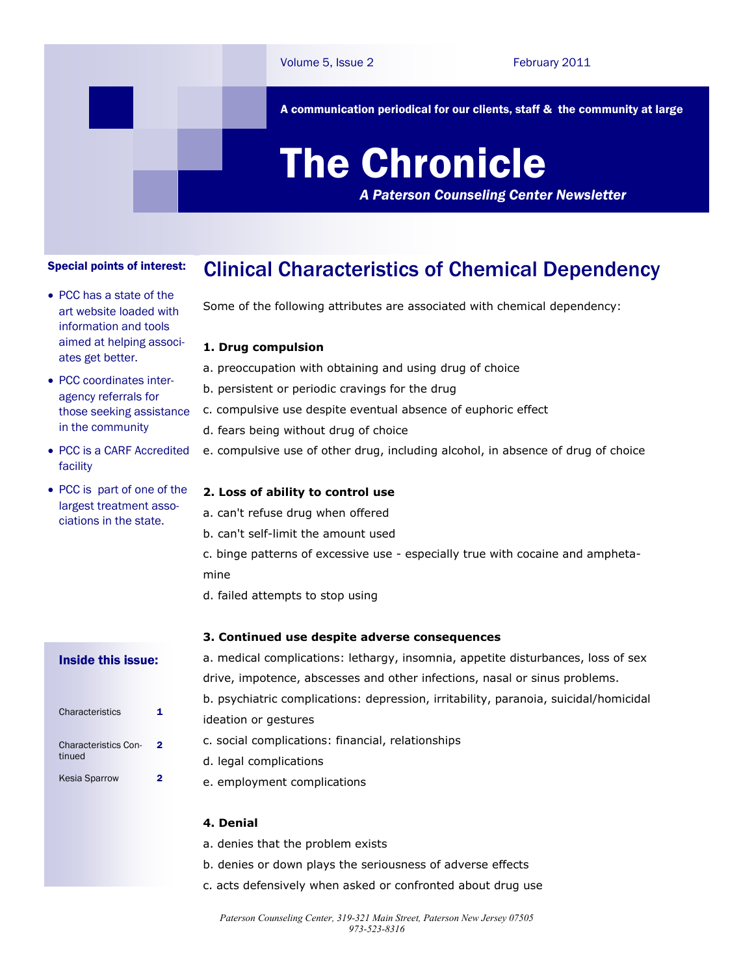A communication periodical for our clients, staff & the community at large

# The Chronicle

*A Paterson Counseling Center Newsletter*

#### Clinical Characteristics of Chemical Dependency Special points of interest:

• PCC has a state of the art website loaded with information and tools aimed at helping associates get better.

• PCC coordinates interagency referrals for those seeking assistance in the community

 PCC is a CARF Accredited facility

• PCC is part of one of the largest treatment associations in the state.

Some of the following attributes are associated with chemical dependency:

### **1. Drug compulsion**

- a. preoccupation with obtaining and using drug of choice
- b. persistent or periodic cravings for the drug
- c. compulsive use despite eventual absence of euphoric effect
- d. fears being without drug of choice
- e. compulsive use of other drug, including alcohol, in absence of drug of choice

#### **2. Loss of ability to control use**

- a. can't refuse drug when offered
- b. can't self-limit the amount used
- c. binge patterns of excessive use especially true with cocaine and amphetamine
- d. failed attempts to stop using

#### **3. Continued use despite adverse consequences**

#### Inside this issue:

| Characteristics                       | 1 |
|---------------------------------------|---|
| <b>Characteristics Con-</b><br>tinued | 2 |
| <b>Kesia Sparrow</b>                  |   |

a. medical complications: lethargy, insomnia, appetite disturbances, loss of sex drive, impotence, abscesses and other infections, nasal or sinus problems. b. psychiatric complications: depression, irritability, paranoia, suicidal/homicidal ideation or gestures c. social complications: financial, relationships

- d. legal complications
- e. employment complications

### **4. Denial**

- a. denies that the problem exists
- b. denies or down plays the seriousness of adverse effects
- c. acts defensively when asked or confronted about drug use